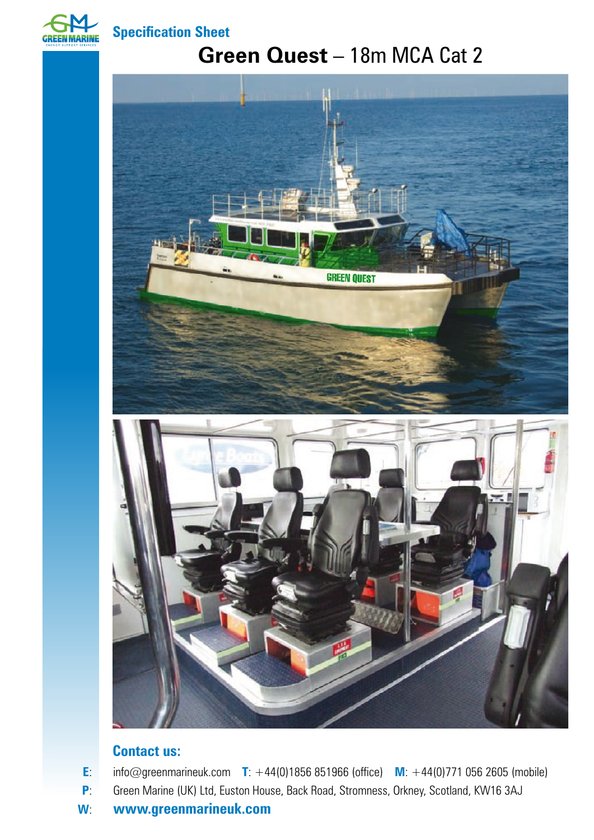

**Specification Sheet**

## **Green Quest** – 18m MCA Cat 2



## **Contact us:**

**E**: info@greenmarineuk.com **T**: +44(0)1856 851966 (office) **M**: +44(0)771 056 2605 (mobile)

- **P:** Green Marine (UK) Ltd, Euston House, Back Road, Stromness, Orkney, Scotland, KW16 3AJ
- **W**: **www.greenmarineuk.com**